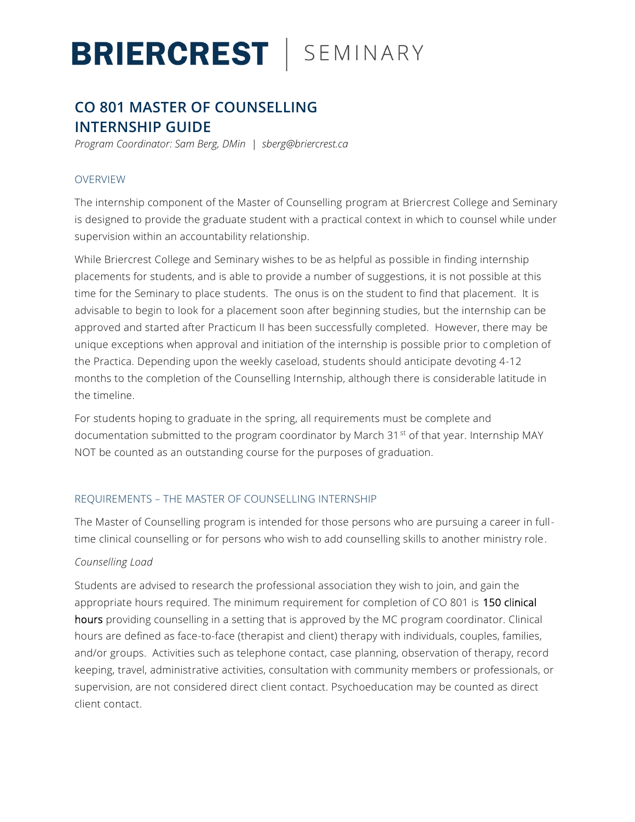# **BRIERCREST** | SEMINARY

## **CO 801 MASTER OF COUNSELLING INTERNSHIP GUIDE**

*Program Coordinator: Sam Berg, DMin | sberg@briercrest.ca* 

### OVERVIEW

The internship component of the Master of Counselling program at Briercrest College and Seminary is designed to provide the graduate student with a practical context in which to counsel while under supervision within an accountability relationship.

While Briercrest College and Seminary wishes to be as helpful as possible in finding internship placements for students, and is able to provide a number of suggestions, it is not possible at this time for the Seminary to place students. The onus is on the student to find that placement. It is advisable to begin to look for a placement soon after beginning studies, but the internship can be approved and started after Practicum II has been successfully completed. However, there may be unique exceptions when approval and initiation of the internship is possible prior to completion of the Practica. Depending upon the weekly caseload, students should anticipate devoting 4-12 months to the completion of the Counselling Internship, although there is considerable latitude in the timeline.

For students hoping to graduate in the spring, all requirements must be complete and documentation submitted to the program coordinator by March 31<sup>st</sup> of that year. Internship MAY NOT be counted as an outstanding course for the purposes of graduation.

### REQUIREMENTS – THE MASTER OF COUNSELLING INTERNSHIP

The Master of Counselling program is intended for those persons who are pursuing a career in fulltime clinical counselling or for persons who wish to add counselling skills to another ministry role.

### *Counselling Load*

Students are advised to research the professional association they wish to join, and gain the appropriate hours required. The minimum requirement for completion of CO 801 is 150 clinical hours providing counselling in a setting that is approved by the MC program coordinator. Clinical hours are defined as face-to-face (therapist and client) therapy with individuals, couples, families, and/or groups. Activities such as telephone contact, case planning, observation of therapy, record keeping, travel, administrative activities, consultation with community members or professionals, or supervision, are not considered direct client contact. Psychoeducation may be counted as direct client contact.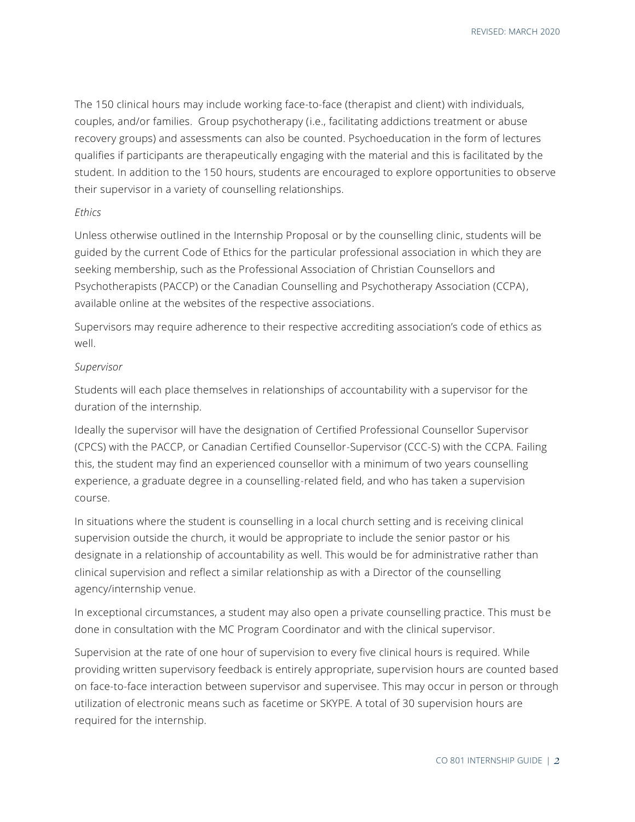The 150 clinical hours may include working face-to-face (therapist and client) with individuals, couples, and/or families. Group psychotherapy (i.e., facilitating addictions treatment or abuse recovery groups) and assessments can also be counted. Psychoeducation in the form of lectures qualifies if participants are therapeutically engaging with the material and this is facilitated by the student. In addition to the 150 hours, students are encouraged to explore opportunities to observe their supervisor in a variety of counselling relationships.

#### *Ethics*

Unless otherwise outlined in the Internship Proposal or by the counselling clinic, students will be guided by the current Code of Ethics for the particular professional association in which they are seeking membership, such as the Professional Association of Christian Counsellors and Psychotherapists (PACCP) or the Canadian Counselling and Psychotherapy Association (CCPA) , available online at the websites of the respective associations.

Supervisors may require adherence to their respective accrediting association's code of ethics as well.

#### *Supervisor*

Students will each place themselves in relationships of accountability with a supervisor for the duration of the internship.

Ideally the supervisor will have the designation of Certified Professional Counsellor Supervisor (CPCS) with the PACCP, or Canadian Certified Counsellor-Supervisor (CCC-S) with the CCPA. Failing this, the student may find an experienced counsellor with a minimum of two years counselling experience, a graduate degree in a counselling-related field, and who has taken a supervision course.

In situations where the student is counselling in a local church setting and is receiving clinical supervision outside the church, it would be appropriate to include the senior pastor or his designate in a relationship of accountability as well. This would be for administrative rather than clinical supervision and reflect a similar relationship as with a Director of the counselling agency/internship venue.

In exceptional circumstances, a student may also open a private counselling practice. This must be done in consultation with the MC Program Coordinator and with the clinical supervisor.

Supervision at the rate of one hour of supervision to every five clinical hours is required. While providing written supervisory feedback is entirely appropriate, supervision hours are counted based on face-to-face interaction between supervisor and supervisee. This may occur in person or through utilization of electronic means such as facetime or SKYPE. A total of 30 supervision hours are required for the internship.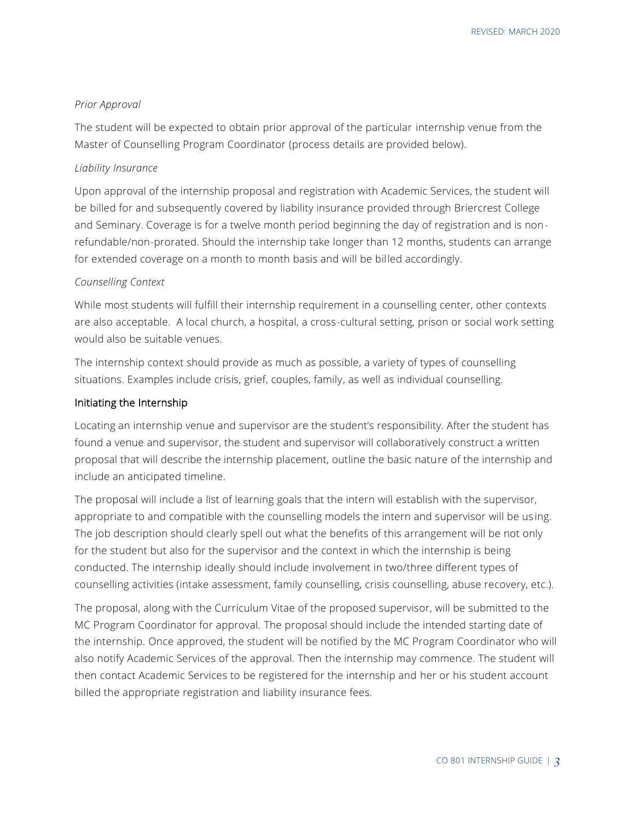#### *Prior Approval*

The student will be expected to obtain prior approval of the particular internship venue from the Master of Counselling Program Coordinator (process details are provided below).

#### *Liability Insurance*

Upon approval of the internship proposal and registration with Academic Services, the student will be billed for and subsequently covered by liability insurance provided through Briercrest College and Seminary. Coverage is for a twelve month period beginning the day of registration and is nonrefundable/non-prorated. Should the internship take longer than 12 months, students can arrange for extended coverage on a month to month basis and will be billed accordingly.

#### *Counselling Context*

While most students will fulfill their internship requirement in a counselling center, other contexts are also acceptable. A local church, a hospital, a cross-cultural setting, prison or social work setting would also be suitable venues.

The internship context should provide as much as possible, a variety of types of counselling situations. Examples include crisis, grief, couples, family, as well as individual counselling.

#### Initiating the Internship

Locating an internship venue and supervisor are the student's responsibility. After the student has found a venue and supervisor, the student and supervisor will collaboratively construct a written proposal that will describe the internship placement, outline the basic nature of the internship and include an anticipated timeline.

The proposal will include a list of learning goals that the intern will establish with the supervisor, appropriate to and compatible with the counselling models the intern and supervisor will be us ing. The job description should clearly spell out what the benefits of this arrangement will be not only for the student but also for the supervisor and the context in which the internship is being conducted. The internship ideally should include involvement in two/three different types of counselling activities (intake assessment, family counselling, crisis counselling, abuse recovery, etc.).

The proposal, along with the Curriculum Vitae of the proposed supervisor, will be submitted to the MC Program Coordinator for approval. The proposal should include the intended starting date of the internship. Once approved, the student will be notified by the MC Program Coordinator who will also notify Academic Services of the approval. Then the internship may commence. The student will then contact Academic Services to be registered for the internship and her or his student account billed the appropriate registration and liability insurance fees.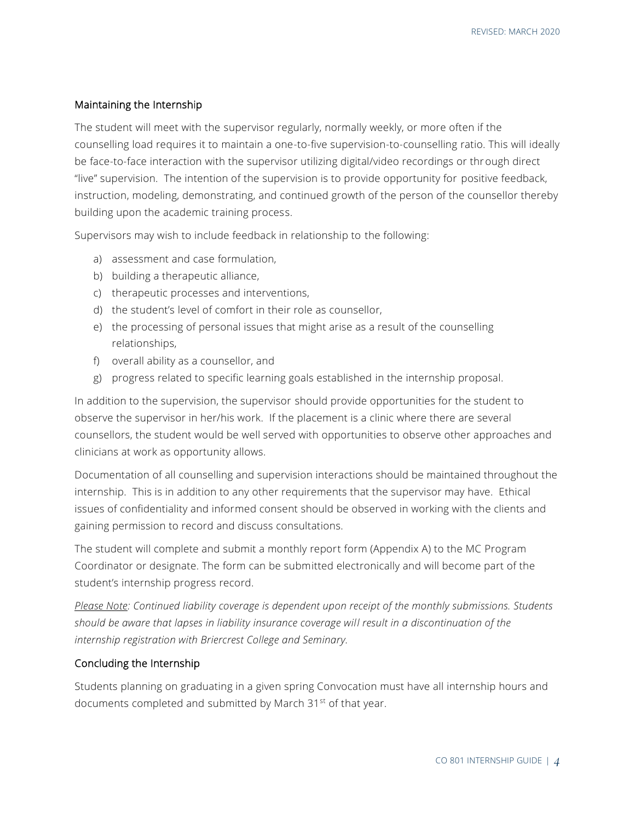#### Maintaining the Internship

The student will meet with the supervisor regularly, normally weekly, or more often if the counselling load requires it to maintain a one-to-five supervision-to-counselling ratio. This will ideally be face-to-face interaction with the supervisor utilizing digital/video recordings or through direct "live" supervision. The intention of the supervision is to provide opportunity for positive feedback, instruction, modeling, demonstrating, and continued growth of the person of the counsellor thereby building upon the academic training process.

Supervisors may wish to include feedback in relationship to the following:

- a) assessment and case formulation,
- b) building a therapeutic alliance,
- c) therapeutic processes and interventions,
- d) the student's level of comfort in their role as counsellor,
- e) the processing of personal issues that might arise as a result of the counselling relationships,
- f) overall ability as a counsellor, and
- g) progress related to specific learning goals established in the internship proposal.

In addition to the supervision, the supervisor should provide opportunities for the student to observe the supervisor in her/his work. If the placement is a clinic where there are several counsellors, the student would be well served with opportunities to observe other approaches and clinicians at work as opportunity allows.

Documentation of all counselling and supervision interactions should be maintained throughout the internship. This is in addition to any other requirements that the supervisor may have. Ethical issues of confidentiality and informed consent should be observed in working with the clients and gaining permission to record and discuss consultations.

The student will complete and submit a monthly report form (Appendix A) to the MC Program Coordinator or designate. The form can be submitted electronically and will become part of the student's internship progress record.

*Please Note: Continued liability coverage is dependent upon receipt of the monthly submissions. Students should be aware that lapses in liability insurance coverage will result in a discontinuation of the internship registration with Briercrest College and Seminary.*

#### Concluding the Internship

Students planning on graduating in a given spring Convocation must have all internship hours and documents completed and submitted by March 31st of that year.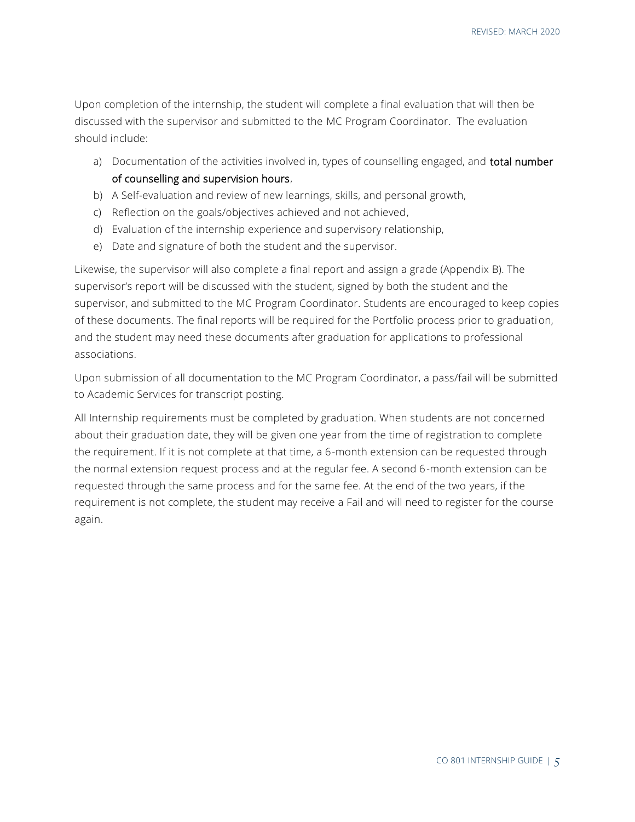Upon completion of the internship, the student will complete a final evaluation that will then be discussed with the supervisor and submitted to the MC Program Coordinator. The evaluation should include:

- a) Documentation of the activities involved in, types of counselling engaged, and **total number** of counselling and supervision hours,
- b) A Self-evaluation and review of new learnings, skills, and personal growth,
- c) Reflection on the goals/objectives achieved and not achieved,
- d) Evaluation of the internship experience and supervisory relationship,
- e) Date and signature of both the student and the supervisor.

Likewise, the supervisor will also complete a final report and assign a grade (Appendix B). The supervisor's report will be discussed with the student, signed by both the student and the supervisor, and submitted to the MC Program Coordinator. Students are encouraged to keep copies of these documents. The final reports will be required for the Portfolio process prior to graduation, and the student may need these documents after graduation for applications to professional associations.

Upon submission of all documentation to the MC Program Coordinator, a pass/fail will be submitted to Academic Services for transcript posting.

All Internship requirements must be completed by graduation. When students are not concerned about their graduation date, they will be given one year from the time of registration to complete the requirement. If it is not complete at that time, a 6-month extension can be requested through the normal extension request process and at the regular fee. A second 6-month extension can be requested through the same process and for the same fee. At the end of the two years, if the requirement is not complete, the student may receive a Fail and will need to register for the course again.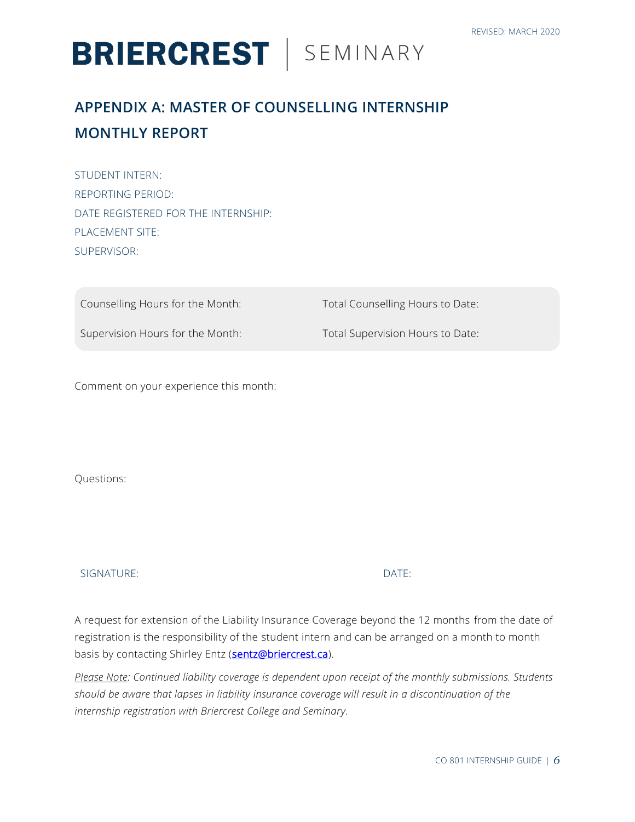# **BRIERCREST** | SEMINARY

## **APPENDIX A: MASTER OF COUNSELLING INTERNSHIP MONTHLY REPORT**

STUDENT INTERN: REPORTING PERIOD: DATE REGISTERED FOR THE INTERNSHIP: PLACEMENT SITE: SUPERVISOR:

Counselling Hours for the Month: Total Counselling Hours to Date:

Supervision Hours for the Month: Total Supervision Hours to Date:

Comment on your experience this month:

Questions:

SIGNATURE: DATE:

A request for extension of the Liability Insurance Coverage beyond the 12 months from the date of registration is the responsibility of the student intern and can be arranged on a month to month basis by contacting Shirley Entz [\(sentz@briercrest.ca\)](mailto:sentz@briercrest.ca).

*Please Note: Continued liability coverage is dependent upon receipt of the monthly submissions. Students should be aware that lapses in liability insurance coverage will result in a discontinuation of the internship registration with Briercrest College and Seminary.*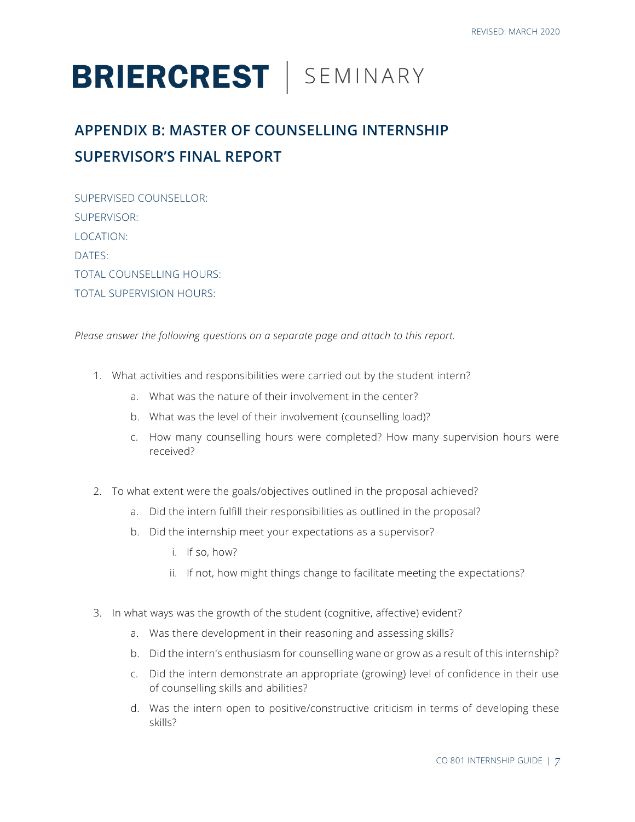# **BRIERCREST** | SEMINARY

## **APPENDIX B: MASTER OF COUNSELLING INTERNSHIP SUPERVISOR'S FINAL REPORT**

| SUPERVISED COUNSELLOR:          |
|---------------------------------|
| SUPERVISOR:                     |
| LOCATION:                       |
| DATES:                          |
| <b>TOTAL COUNSELLING HOURS:</b> |
| TOTAL SUPERVISION HOURS:        |

*Please answer the following questions on a separate page and attach to this report.*

- 1. What activities and responsibilities were carried out by the student intern?
	- a. What was the nature of their involvement in the center?
	- b. What was the level of their involvement (counselling load)?
	- c. How many counselling hours were completed? How many supervision hours were received?
- 2. To what extent were the goals/objectives outlined in the proposal achieved?
	- a. Did the intern fulfill their responsibilities as outlined in the proposal?
	- b. Did the internship meet your expectations as a supervisor?
		- i. If so, how?
		- ii. If not, how might things change to facilitate meeting the expectations?
- 3. In what ways was the growth of the student (cognitive, affective) evident?
	- a. Was there development in their reasoning and assessing skills?
	- b. Did the intern's enthusiasm for counselling wane or grow as a result of this internship?
	- c. Did the intern demonstrate an appropriate (growing) level of confidence in their use of counselling skills and abilities?
	- d. Was the intern open to positive/constructive criticism in terms of developing these skills?